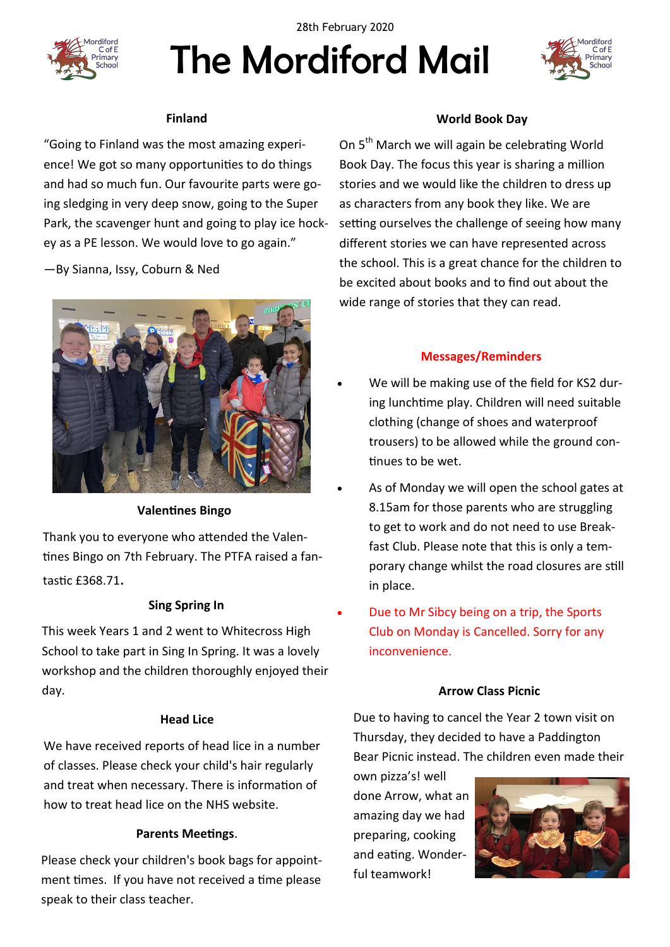

The Mordiford Mail 28th February 2020



# **Finland**

"Going to Finland was the most amazing experience! We got so many opportunities to do things and had so much fun. Our favourite parts were going sledging in very deep snow, going to the Super Park, the scavenger hunt and going to play ice hockey as a PE lesson. We would love to go again."

—By Sianna, Issy, Coburn & Ned



#### **Valentines Bingo**

Thank you to everyone who attended the Valentines Bingo on 7th February. The PTFA raised a fantastic £368.71.

#### **Sing Spring In**

This week Years 1 and 2 went to Whitecross High School to take part in Sing In Spring. It was a lovely workshop and the children thoroughly enjoyed their day.

#### **Head Lice**

We have received reports of head lice in a number of classes. Please check your child's hair regularly and treat when necessary. There is information of how to treat head lice on the NHS website.

#### **Parents Meetings**.

Please check your children's book bags for appointment times. If you have not received a time please speak to their class teacher.

# **World Book Day**

On 5<sup>th</sup> March we will again be celebrating World Book Day. The focus this year is sharing a million stories and we would like the children to dress up as characters from any book they like. We are setting ourselves the challenge of seeing how many different stories we can have represented across the school. This is a great chance for the children to be excited about books and to find out about the wide range of stories that they can read.

#### **Messages/Reminders**

- We will be making use of the field for KS2 during lunchtime play. Children will need suitable clothing (change of shoes and waterproof trousers) to be allowed while the ground continues to be wet.
- As of Monday we will open the school gates at 8.15am for those parents who are struggling to get to work and do not need to use Breakfast Club. Please note that this is only a temporary change whilst the road closures are still in place.
- Due to Mr Sibcy being on a trip, the Sports Club on Monday is Cancelled. Sorry for any inconvenience.

#### **Arrow Class Picnic**

Due to having to cancel the Year 2 town visit on Thursday, they decided to have a Paddington Bear Picnic instead. The children even made their

own pizza's! well done Arrow, what an amazing day we had preparing, cooking and eating. Wonderful teamwork!